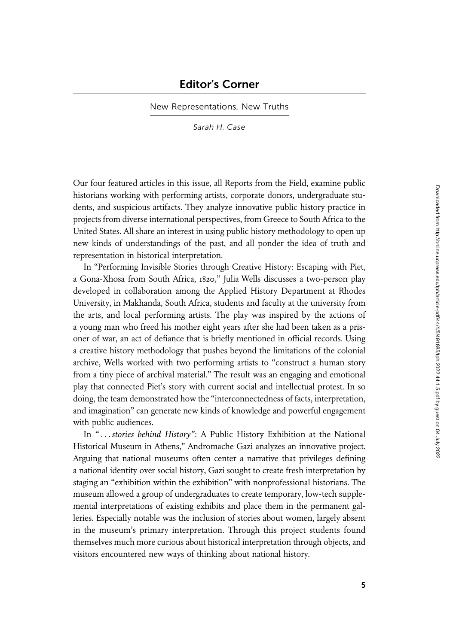New Representations, New Truths

Sarah H. Case

Our four featured articles in this issue, all Reports from the Field, examine public historians working with performing artists, corporate donors, undergraduate students, and suspicious artifacts. They analyze innovative public history practice in projects from diverse international perspectives, from Greece to South Africa to the United States. All share an interest in using public history methodology to open up new kinds of understandings of the past, and all ponder the idea of truth and representation in historical interpretation.

In "Performing Invisible Stories through Creative History: Escaping with Piet, a Gona-Xhosa from South Africa, 1820," Julia Wells discusses a two-person play developed in collaboration among the Applied History Department at Rhodes University, in Makhanda, South Africa, students and faculty at the university from the arts, and local performing artists. The play was inspired by the actions of a young man who freed his mother eight years after she had been taken as a prisoner of war, an act of defiance that is briefly mentioned in official records. Using a creative history methodology that pushes beyond the limitations of the colonial archive, Wells worked with two performing artists to "construct a human story from a tiny piece of archival material." The result was an engaging and emotional play that connected Piet's story with current social and intellectual protest. In so doing, the team demonstrated how the "interconnectedness of facts, interpretation, and imagination" can generate new kinds of knowledge and powerful engagement with public audiences.

In "...stories behind History": A Public History Exhibition at the National Historical Museum in Athens," Andromache Gazi analyzes an innovative project. Arguing that national museums often center a narrative that privileges defining a national identity over social history, Gazi sought to create fresh interpretation by staging an "exhibition within the exhibition" with nonprofessional historians. The museum allowed a group of undergraduates to create temporary, low-tech supplemental interpretations of existing exhibits and place them in the permanent galleries. Especially notable was the inclusion of stories about women, largely absent in the museum's primary interpretation. Through this project students found themselves much more curious about historical interpretation through objects, and visitors encountered new ways of thinking about national history.